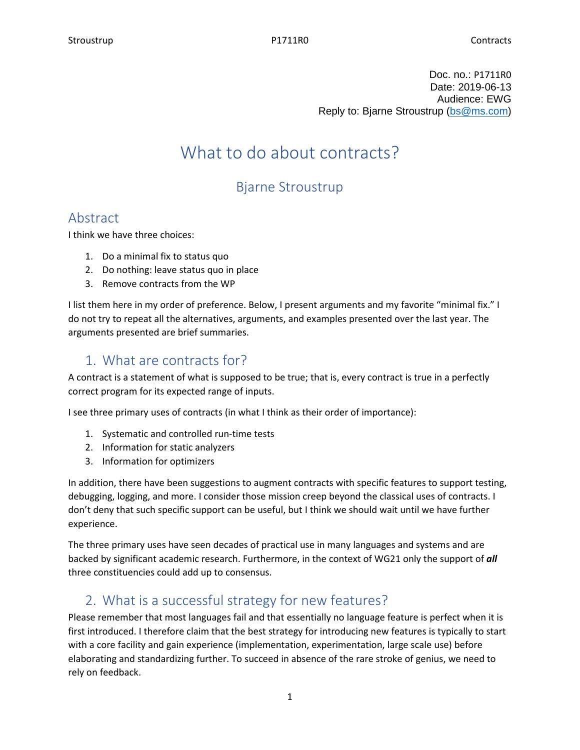Doc. no.: P1711R0 Date: 2019-06-13 Audience: EWG Reply to: Bjarne Stroustrup [\(bs@ms.com\)](mailto:bs@ms.com)

# What to do about contracts?

## Bjarne Stroustrup

## Abstract

I think we have three choices:

- 1. Do a minimal fix to status quo
- 2. Do nothing: leave status quo in place
- 3. Remove contracts from the WP

I list them here in my order of preference. Below, I present arguments and my favorite "minimal fix." I do not try to repeat all the alternatives, arguments, and examples presented over the last year. The arguments presented are brief summaries.

## 1. What are contracts for?

A contract is a statement of what is supposed to be true; that is, every contract is true in a perfectly correct program for its expected range of inputs.

I see three primary uses of contracts (in what I think as their order of importance):

- 1. Systematic and controlled run-time tests
- 2. Information for static analyzers
- 3. Information for optimizers

In addition, there have been suggestions to augment contracts with specific features to support testing, debugging, logging, and more. I consider those mission creep beyond the classical uses of contracts. I don't deny that such specific support can be useful, but I think we should wait until we have further experience.

The three primary uses have seen decades of practical use in many languages and systems and are backed by significant academic research. Furthermore, in the context of WG21 only the support of *all* three constituencies could add up to consensus.

## 2. What is a successful strategy for new features?

Please remember that most languages fail and that essentially no language feature is perfect when it is first introduced. I therefore claim that the best strategy for introducing new features is typically to start with a core facility and gain experience (implementation, experimentation, large scale use) before elaborating and standardizing further. To succeed in absence of the rare stroke of genius, we need to rely on feedback.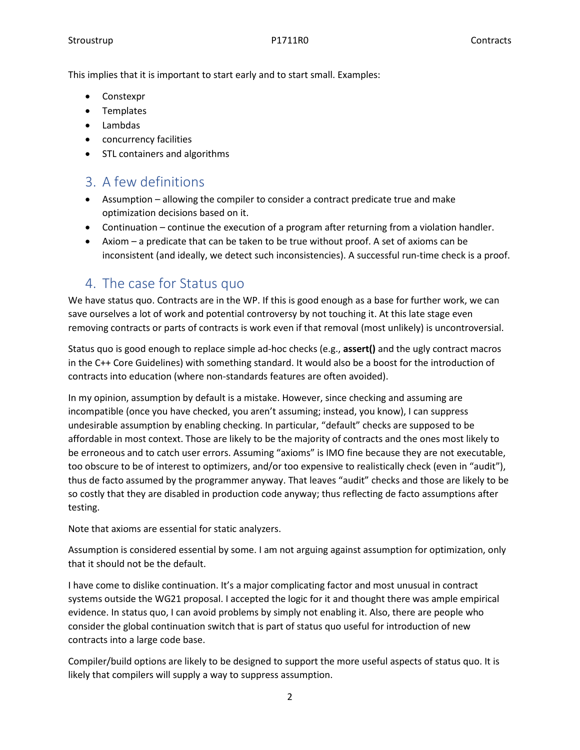This implies that it is important to start early and to start small. Examples:

- Constexpr
- Templates
- Lambdas
- concurrency facilities
- STL containers and algorithms

## 3. A few definitions

- Assumption allowing the compiler to consider a contract predicate true and make optimization decisions based on it.
- Continuation continue the execution of a program after returning from a violation handler.
- Axiom a predicate that can be taken to be true without proof. A set of axioms can be inconsistent (and ideally, we detect such inconsistencies). A successful run-time check is a proof.

## 4. The case for Status quo

We have status quo. Contracts are in the WP. If this is good enough as a base for further work, we can save ourselves a lot of work and potential controversy by not touching it. At this late stage even removing contracts or parts of contracts is work even if that removal (most unlikely) is uncontroversial.

Status quo is good enough to replace simple ad-hoc checks (e.g., **assert()** and the ugly contract macros in the C++ Core Guidelines) with something standard. It would also be a boost for the introduction of contracts into education (where non-standards features are often avoided).

In my opinion, assumption by default is a mistake. However, since checking and assuming are incompatible (once you have checked, you aren't assuming; instead, you know), I can suppress undesirable assumption by enabling checking. In particular, "default" checks are supposed to be affordable in most context. Those are likely to be the majority of contracts and the ones most likely to be erroneous and to catch user errors. Assuming "axioms" is IMO fine because they are not executable, too obscure to be of interest to optimizers, and/or too expensive to realistically check (even in "audit"), thus de facto assumed by the programmer anyway. That leaves "audit" checks and those are likely to be so costly that they are disabled in production code anyway; thus reflecting de facto assumptions after testing.

Note that axioms are essential for static analyzers.

Assumption is considered essential by some. I am not arguing against assumption for optimization, only that it should not be the default.

I have come to dislike continuation. It's a major complicating factor and most unusual in contract systems outside the WG21 proposal. I accepted the logic for it and thought there was ample empirical evidence. In status quo, I can avoid problems by simply not enabling it. Also, there are people who consider the global continuation switch that is part of status quo useful for introduction of new contracts into a large code base.

Compiler/build options are likely to be designed to support the more useful aspects of status quo. It is likely that compilers will supply a way to suppress assumption.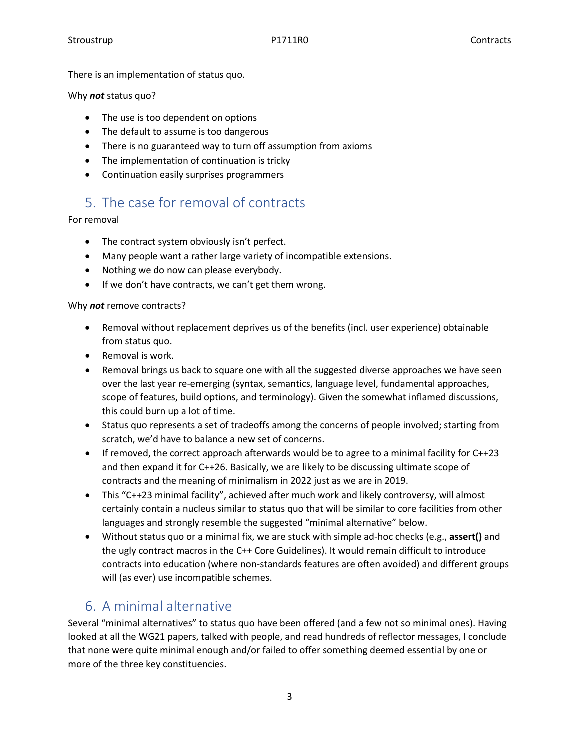There is an implementation of status quo.

### Why *not* status quo?

- The use is too dependent on options
- The default to assume is too dangerous
- There is no guaranteed way to turn off assumption from axioms
- The implementation of continuation is tricky
- Continuation easily surprises programmers

## 5. The case for removal of contracts

For removal

- The contract system obviously isn't perfect.
- Many people want a rather large variety of incompatible extensions.
- Nothing we do now can please everybody.
- If we don't have contracts, we can't get them wrong.

### Why *not* remove contracts?

- Removal without replacement deprives us of the benefits (incl. user experience) obtainable from status quo.
- Removal is work.
- Removal brings us back to square one with all the suggested diverse approaches we have seen over the last year re-emerging (syntax, semantics, language level, fundamental approaches, scope of features, build options, and terminology). Given the somewhat inflamed discussions, this could burn up a lot of time.
- Status quo represents a set of tradeoffs among the concerns of people involved; starting from scratch, we'd have to balance a new set of concerns.
- If removed, the correct approach afterwards would be to agree to a minimal facility for C++23 and then expand it for C++26. Basically, we are likely to be discussing ultimate scope of contracts and the meaning of minimalism in 2022 just as we are in 2019.
- This "C++23 minimal facility", achieved after much work and likely controversy, will almost certainly contain a nucleus similar to status quo that will be similar to core facilities from other languages and strongly resemble the suggested "minimal alternative" below.
- Without status quo or a minimal fix, we are stuck with simple ad-hoc checks (e.g., **assert()** and the ugly contract macros in the C++ Core Guidelines). It would remain difficult to introduce contracts into education (where non-standards features are often avoided) and different groups will (as ever) use incompatible schemes.

## 6. A minimal alternative

Several "minimal alternatives" to status quo have been offered (and a few not so minimal ones). Having looked at all the WG21 papers, talked with people, and read hundreds of reflector messages, I conclude that none were quite minimal enough and/or failed to offer something deemed essential by one or more of the three key constituencies.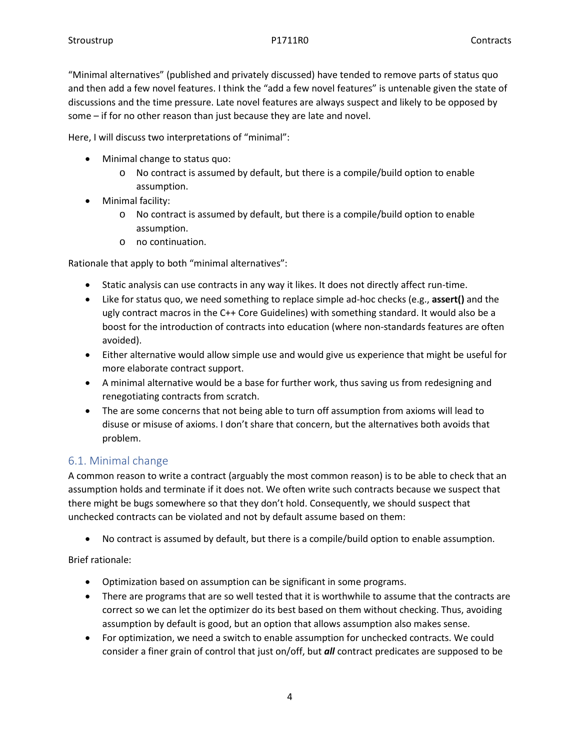"Minimal alternatives" (published and privately discussed) have tended to remove parts of status quo and then add a few novel features. I think the "add a few novel features" is untenable given the state of discussions and the time pressure. Late novel features are always suspect and likely to be opposed by some – if for no other reason than just because they are late and novel.

Here, I will discuss two interpretations of "minimal":

- Minimal change to status quo:
	- o No contract is assumed by default, but there is a compile/build option to enable assumption.
- Minimal facility:
	- o No contract is assumed by default, but there is a compile/build option to enable assumption.
	- o no continuation.

Rationale that apply to both "minimal alternatives":

- Static analysis can use contracts in any way it likes. It does not directly affect run-time.
- Like for status quo, we need something to replace simple ad-hoc checks (e.g., **assert()** and the ugly contract macros in the C++ Core Guidelines) with something standard. It would also be a boost for the introduction of contracts into education (where non-standards features are often avoided).
- Either alternative would allow simple use and would give us experience that might be useful for more elaborate contract support.
- A minimal alternative would be a base for further work, thus saving us from redesigning and renegotiating contracts from scratch.
- The are some concerns that not being able to turn off assumption from axioms will lead to disuse or misuse of axioms. I don't share that concern, but the alternatives both avoids that problem.

### 6.1. Minimal change

A common reason to write a contract (arguably the most common reason) is to be able to check that an assumption holds and terminate if it does not. We often write such contracts because we suspect that there might be bugs somewhere so that they don't hold. Consequently, we should suspect that unchecked contracts can be violated and not by default assume based on them:

• No contract is assumed by default, but there is a compile/build option to enable assumption.

Brief rationale:

- Optimization based on assumption can be significant in some programs.
- There are programs that are so well tested that it is worthwhile to assume that the contracts are correct so we can let the optimizer do its best based on them without checking. Thus, avoiding assumption by default is good, but an option that allows assumption also makes sense.
- For optimization, we need a switch to enable assumption for unchecked contracts. We could consider a finer grain of control that just on/off, but *all* contract predicates are supposed to be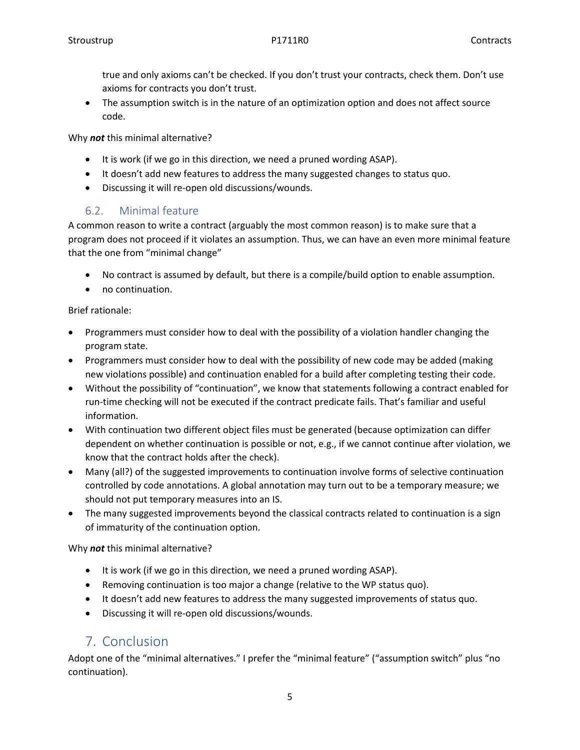true and only axioms can't be checked. If you don't trust your contracts, check them. Don't use axioms for contracts you don't trust.

• The assumption switch is in the nature of an optimization option and does not affect source code.

Why *not* this minimal alternative?

- It is work (if we go in this direction, we need a pruned wording ASAP).
- It doesn't add new features to address the many suggested changes to status quo.
- Discussing it will re-open old discussions/wounds.

### 6.2. Minimal feature

A common reason to write a contract (arguably the most common reason) is to make sure that a program does not proceed if it violates an assumption. Thus, we can have an even more minimal feature that the one from "minimal change"

- No contract is assumed by default, but there is a compile/build option to enable assumption.
- no continuation.

### Brief rationale:

- Programmers must consider how to deal with the possibility of a violation handler changing the program state.
- Programmers must consider how to deal with the possibility of new code may be added (making new violations possible) and continuation enabled for a build after completing testing their code.
- Without the possibility of "continuation", we know that statements following a contract enabled for run-time checking will not be executed if the contract predicate fails. That's familiar and useful information.
- With continuation two different object files must be generated (because optimization can differ dependent on whether continuation is possible or not, e.g., if we cannot continue after violation, we know that the contract holds after the check).
- Many (all?) of the suggested improvements to continuation involve forms of selective continuation controlled by code annotations. A global annotation may turn out to be a temporary measure; we should not put temporary measures into an IS.
- The many suggested improvements beyond the classical contracts related to continuation is a sign of immaturity of the continuation option.

Why *not* this minimal alternative?

- It is work (if we go in this direction, we need a pruned wording ASAP).
- Removing continuation is too major a change (relative to the WP status quo).
- It doesn't add new features to address the many suggested improvements of status quo.
- Discussing it will re-open old discussions/wounds.

## 7. Conclusion

Adopt one of the "minimal alternatives." I prefer the "minimal feature" ("assumption switch" plus "no continuation).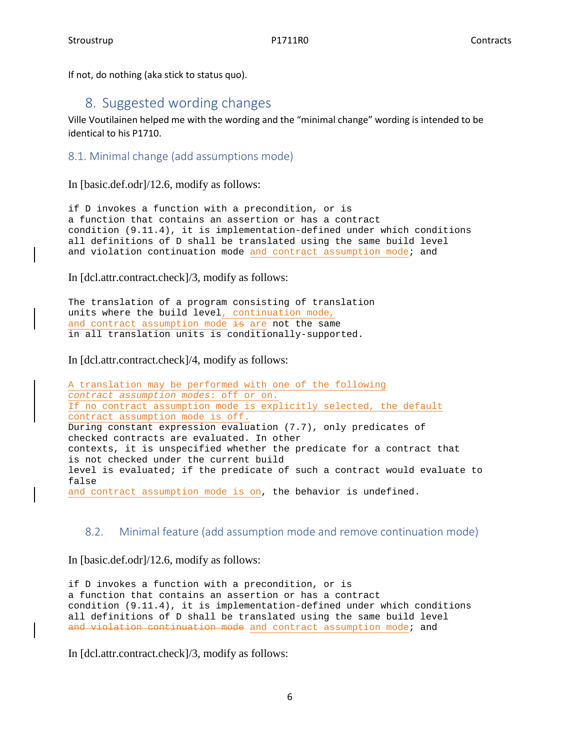If not, do nothing (aka stick to status quo).

## 8. Suggested wording changes

Ville Voutilainen helped me with the wording and the "minimal change" wording is intended to be identical to his P1710.

### 8.1. Minimal change (add assumptions mode)

In [basic.def.odr]/12.6, modify as follows:

if D invokes a function with a precondition, or is a function that contains an assertion or has a contract condition (9.11.4), it is implementation-defined under which conditions all definitions of D shall be translated using the same build level and violation continuation mode and contract assumption mode; and

### In [dcl.attr.contract.check]/3, modify as follows:

```
The translation of a program consisting of translation
units where the build level, continuation mode,
and contract assumption mode \frac{1}{18} are not the same
in all translation units is conditionally-supported.
```
In [dcl.attr.contract.check]/4, modify as follows:

A translation may be performed with one of the following *contract assumption modes*: off or on. If no contract assumption mode is explicitly selected, the default contract assumption mode is off. During constant expression evaluation (7.7), only predicates of checked contracts are evaluated. In other contexts, it is unspecified whether the predicate for a contract that is not checked under the current build level is evaluated; if the predicate of such a contract would evaluate to false and contract assumption mode is on, the behavior is undefined.

### 8.2. Minimal feature (add assumption mode and remove continuation mode)

### In [basic.def.odr]/12.6, modify as follows:

if D invokes a function with a precondition, or is a function that contains an assertion or has a contract condition (9.11.4), it is implementation-defined under which conditions all definitions of D shall be translated using the same build level and violation continuation mode and contract assumption mode; and

In [dcl.attr.contract.check]/3, modify as follows: